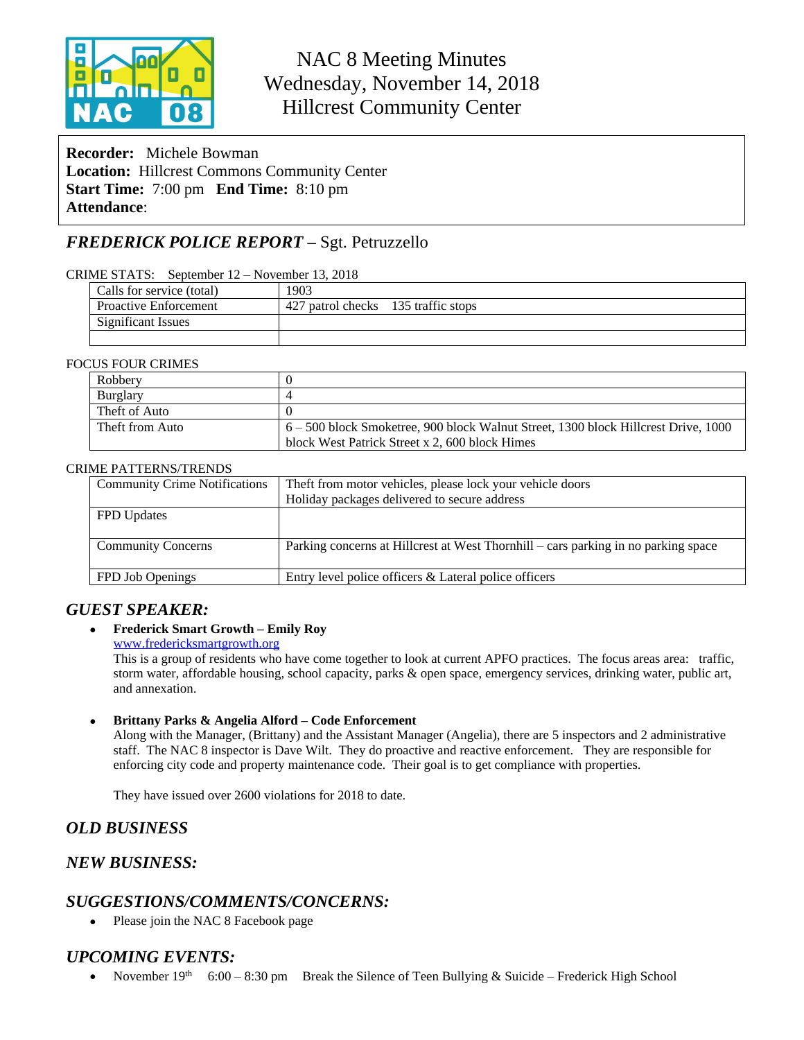

# NAC 8 Meeting Minutes Wednesday, November 14, 2018 Hillcrest Community Center

**Recorder:** Michele Bowman **Location:** Hillcrest Commons Community Center **Start Time:** 7:00 pm **End Time:** 8:10 pm **Attendance**:

## *FREDERICK POLICE REPORT –* Sgt. Petruzzello

#### CRIME STATS: September 12 – November 13, 2018

| Calls for service (total)    | 1903                                |  |
|------------------------------|-------------------------------------|--|
| <b>Proactive Enforcement</b> | 427 patrol checks 135 traffic stops |  |
| Significant Issues           |                                     |  |
|                              |                                     |  |

#### FOCUS FOUR CRIMES

| Robbery         |                                                                                    |
|-----------------|------------------------------------------------------------------------------------|
| <b>Burglary</b> |                                                                                    |
| Theft of Auto   |                                                                                    |
| Theft from Auto | 6 – 500 block Smoketree, 900 block Walnut Street, 1300 block Hillcrest Drive, 1000 |
|                 | block West Patrick Street x 2, 600 block Himes                                     |

#### CRIME PATTERNS/TRENDS

| Theft from motor vehicles, please lock your vehicle doors                          |  |
|------------------------------------------------------------------------------------|--|
| Holiday packages delivered to secure address                                       |  |
|                                                                                    |  |
|                                                                                    |  |
| Parking concerns at Hillcrest at West Thornhill – cars parking in no parking space |  |
|                                                                                    |  |
| Entry level police officers & Lateral police officers                              |  |
|                                                                                    |  |

### *GUEST SPEAKER:*

#### **Frederick Smart Growth – Emily Roy**

[www.fredericksmartgrowth.org](http://www.fredericksmartgrowth.org)

This is a group of residents who have come together to look at current APFO practices. The focus areas area: traffic, storm water, affordable housing, school capacity, parks & open space, emergency services, drinking water, public art, and annexation.

**Brittany Parks & Angelia Alford – Code Enforcement**

Along with the Manager, (Brittany) and the Assistant Manager (Angelia), there are 5 inspectors and 2 administrative staff. The NAC 8 inspector is Dave Wilt. They do proactive and reactive enforcement. They are responsible for enforcing city code and property maintenance code. Their goal is to get compliance with properties.

They have issued over 2600 violations for 2018 to date.

### *OLD BUSINESS*

### *NEW BUSINESS:*

### *SUGGESTIONS/COMMENTS/CONCERNS:*

• Please join the NAC 8 Facebook page

### *UPCOMING EVENTS:*

• November  $19<sup>th</sup>$  6:00 – 8:30 pm Break the Silence of Teen Bullying & Suicide – Frederick High School